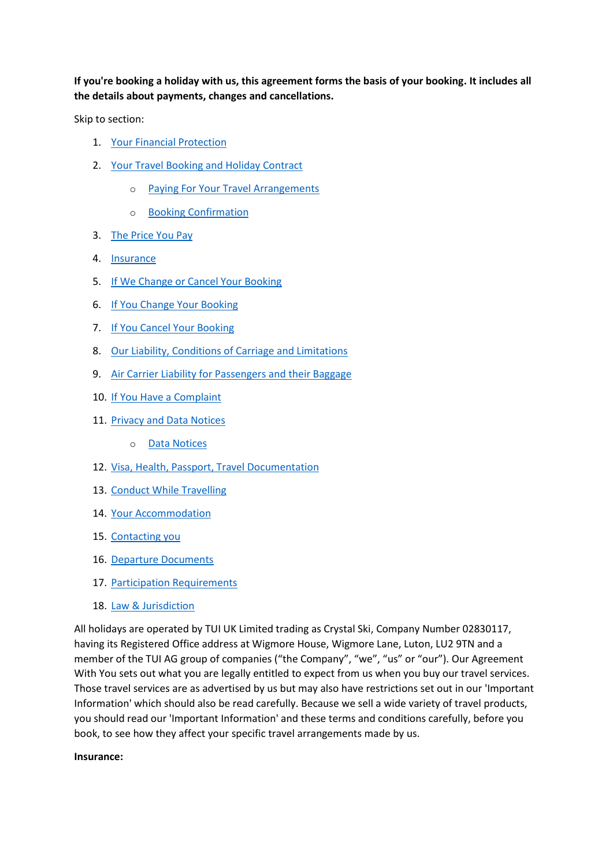**If you're booking a holiday with us, this agreement forms the basis of your booking. It includes all the details about payments, changes and cancellations.**

Skip to section:

- 1. [Your Financial Protection](https://www.crystalski.co.uk/our-policies/terms-and-conditions/holiday-agreements/#your-financial-protection)
- 2. [Your Travel Booking and Holiday Contract](https://www.crystalski.co.uk/our-policies/terms-and-conditions/holiday-agreements/#your-travel-booking-and-holiday-contract)
	- o [Paying For Your Travel Arrangements](https://www.crystalski.co.uk/our-policies/terms-and-conditions/holiday-agreements/#paying-for-your-travel-arrangements)
	- o [Booking Confirmation](https://www.crystalski.co.uk/our-policies/terms-and-conditions/holiday-agreements/#booking-confirmation)
- 3. [The Price You Pay](https://www.crystalski.co.uk/our-policies/terms-and-conditions/holiday-agreements/#the-price-you-pay)
- 4. [Insurance](https://www.crystalski.co.uk/our-policies/terms-and-conditions/holiday-agreements/#insurance)
- 5. [If We Change or Cancel Your Booking](https://www.crystalski.co.uk/our-policies/terms-and-conditions/holiday-agreements/#we-change-or-cancel-your-booking)
- 6. [If You Change Your Booking](https://www.crystalski.co.uk/our-policies/terms-and-conditions/holiday-agreements/#you-change-your-booking)
- 7. [If You Cancel Your Booking](https://www.crystalski.co.uk/our-policies/terms-and-conditions/holiday-agreements/#you-cancel-your-booking)
- 8. [Our Liability, Conditions of Carriage and Limitations](https://www.crystalski.co.uk/our-policies/terms-and-conditions/holiday-agreements/#our-liability-conditions-of-carriage-and-limitations)
- 9. [Air Carrier Liability for Passengers and their Baggage](https://www.crystalski.co.uk/our-policies/terms-and-conditions/holiday-agreements/#air-carrier-liability-for-passengers-and-their-baggage)
- 10. [If You Have a Complaint](https://www.crystalski.co.uk/our-policies/terms-and-conditions/holiday-agreements/#you-have-a-complaint)
- 11. [Privacy and Data Notices](https://www.crystalski.co.uk/our-policies/terms-and-conditions/holiday-agreements/#privacy-and-data-notices)
	- o [Data Notices](https://www.crystalski.co.uk/our-policies/terms-and-conditions/holiday-agreements/#data-notices)
- 12. [Visa, Health, Passport, Travel Documentation](https://www.crystalski.co.uk/our-policies/terms-and-conditions/holiday-agreements/#visa-health-passport-travel-documentation)
- 13. [Conduct While Travelling](https://www.crystalski.co.uk/our-policies/terms-and-conditions/holiday-agreements/#conduct-while-travelling)
- 14. [Your Accommodation](https://www.crystalski.co.uk/our-policies/terms-and-conditions/holiday-agreements/#your-accommodation)
- 15. [Contacting you](https://www.crystalski.co.uk/our-policies/terms-and-conditions/holiday-agreements/#contacting-you)
- 16. [Departure Documents](https://www.crystalski.co.uk/our-policies/terms-and-conditions/holiday-agreements/#departure-documents)
- 17. [Participation Requirements](https://www.crystalski.co.uk/our-policies/terms-and-conditions/holiday-agreements/#participation-requirements)
- 18. [Law & Jurisdiction](https://www.crystalski.co.uk/our-policies/terms-and-conditions/holiday-agreements/#law-and-jurisdiction)

All holidays are operated by TUI UK Limited trading as Crystal Ski, Company Number 02830117, having its Registered Office address at Wigmore House, Wigmore Lane, Luton, LU2 9TN and a member of the TUI AG group of companies ("the Company", "we", "us" or "our"). Our Agreement With You sets out what you are legally entitled to expect from us when you buy our travel services. Those travel services are as advertised by us but may also have restrictions set out in our 'Important Information' which should also be read carefully. Because we sell a wide variety of travel products, you should read our 'Important Information' and these terms and conditions carefully, before you book, to see how they affect your specific travel arrangements made by us.

## **Insurance:**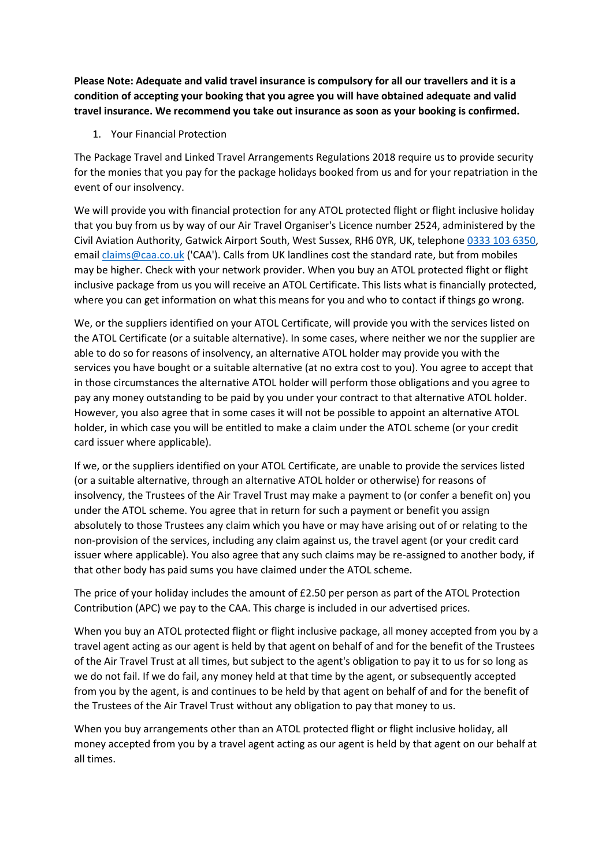**Please Note: Adequate and valid travel insurance is compulsory for all our travellers and it is a condition of accepting your booking that you agree you will have obtained adequate and valid travel insurance. We recommend you take out insurance as soon as your booking is confirmed.**

1. Your Financial Protection

The Package Travel and Linked Travel Arrangements Regulations 2018 require us to provide security for the monies that you pay for the package holidays booked from us and for your repatriation in the event of our insolvency.

We will provide you with financial protection for any ATOL protected flight or flight inclusive holiday that you buy from us by way of our Air Travel Organiser's Licence number 2524, administered by the Civil Aviation Authority, Gatwick Airport South, West Sussex, RH6 0YR, UK, telephone [0333 103 6350,](tel:+443331036350) email [claims@caa.co.uk](mailto:claims@caa.co.uk) ('CAA'). Calls from UK landlines cost the standard rate, but from mobiles may be higher. Check with your network provider. When you buy an ATOL protected flight or flight inclusive package from us you will receive an ATOL Certificate. This lists what is financially protected, where you can get information on what this means for you and who to contact if things go wrong.

We, or the suppliers identified on your ATOL Certificate, will provide you with the services listed on the ATOL Certificate (or a suitable alternative). In some cases, where neither we nor the supplier are able to do so for reasons of insolvency, an alternative ATOL holder may provide you with the services you have bought or a suitable alternative (at no extra cost to you). You agree to accept that in those circumstances the alternative ATOL holder will perform those obligations and you agree to pay any money outstanding to be paid by you under your contract to that alternative ATOL holder. However, you also agree that in some cases it will not be possible to appoint an alternative ATOL holder, in which case you will be entitled to make a claim under the ATOL scheme (or your credit card issuer where applicable).

If we, or the suppliers identified on your ATOL Certificate, are unable to provide the services listed (or a suitable alternative, through an alternative ATOL holder or otherwise) for reasons of insolvency, the Trustees of the Air Travel Trust may make a payment to (or confer a benefit on) you under the ATOL scheme. You agree that in return for such a payment or benefit you assign absolutely to those Trustees any claim which you have or may have arising out of or relating to the non-provision of the services, including any claim against us, the travel agent (or your credit card issuer where applicable). You also agree that any such claims may be re-assigned to another body, if that other body has paid sums you have claimed under the ATOL scheme.

The price of your holiday includes the amount of £2.50 per person as part of the ATOL Protection Contribution (APC) we pay to the CAA. This charge is included in our advertised prices.

When you buy an ATOL protected flight or flight inclusive package, all money accepted from you by a travel agent acting as our agent is held by that agent on behalf of and for the benefit of the Trustees of the Air Travel Trust at all times, but subject to the agent's obligation to pay it to us for so long as we do not fail. If we do fail, any money held at that time by the agent, or subsequently accepted from you by the agent, is and continues to be held by that agent on behalf of and for the benefit of the Trustees of the Air Travel Trust without any obligation to pay that money to us.

When you buy arrangements other than an ATOL protected flight or flight inclusive holiday, all money accepted from you by a travel agent acting as our agent is held by that agent on our behalf at all times.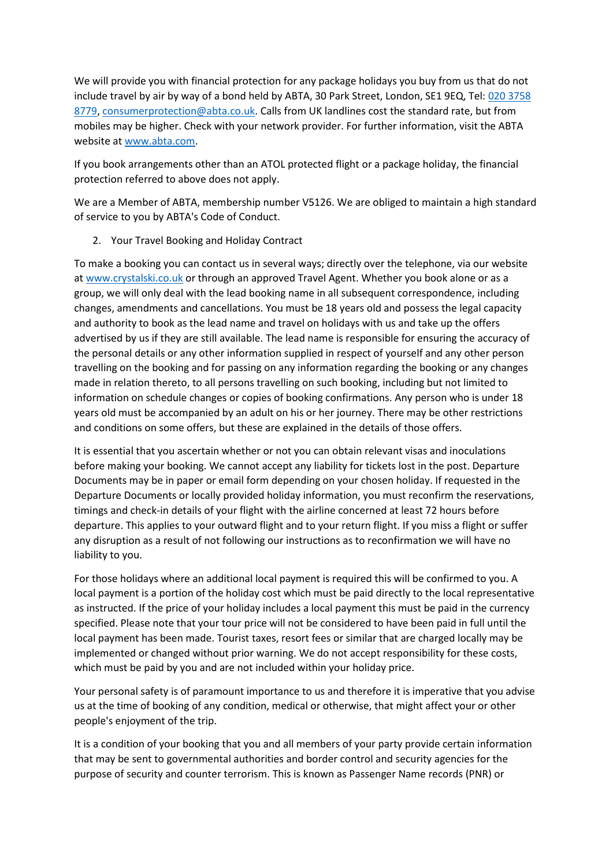We will provide you with financial protection for any package holidays you buy from us that do not include travel by air by way of a bond held by ABTA, 30 Park Street, London, SE1 9EQ, Tel: [020 3758](tel:+442037588779)  [8779,](tel:+442037588779) [consumerprotection@abta.co.uk.](mailto:consumerprotection@abta.co.uk) Calls from UK landlines cost the standard rate, but from mobiles may be higher. Check with your network provider. For further information, visit the ABTA website at [www.abta.com.](http://www.abta.com/)

If you book arrangements other than an ATOL protected flight or a package holiday, the financial protection referred to above does not apply.

We are a Member of ABTA, membership number V5126. We are obliged to maintain a high standard of service to you by ABTA's Code of Conduct.

2. Your Travel Booking and Holiday Contract

To make a booking you can contact us in several ways; directly over the telephone, via our website at [www.crystalski.co.uk](https://www.crystalski.co.uk/) or through an approved Travel Agent. Whether you book alone or as a group, we will only deal with the lead booking name in all subsequent correspondence, including changes, amendments and cancellations. You must be 18 years old and possess the legal capacity and authority to book as the lead name and travel on holidays with us and take up the offers advertised by us if they are still available. The lead name is responsible for ensuring the accuracy of the personal details or any other information supplied in respect of yourself and any other person travelling on the booking and for passing on any information regarding the booking or any changes made in relation thereto, to all persons travelling on such booking, including but not limited to information on schedule changes or copies of booking confirmations. Any person who is under 18 years old must be accompanied by an adult on his or her journey. There may be other restrictions and conditions on some offers, but these are explained in the details of those offers.

It is essential that you ascertain whether or not you can obtain relevant visas and inoculations before making your booking. We cannot accept any liability for tickets lost in the post. Departure Documents may be in paper or email form depending on your chosen holiday. If requested in the Departure Documents or locally provided holiday information, you must reconfirm the reservations, timings and check-in details of your flight with the airline concerned at least 72 hours before departure. This applies to your outward flight and to your return flight. If you miss a flight or suffer any disruption as a result of not following our instructions as to reconfirmation we will have no liability to you.

For those holidays where an additional local payment is required this will be confirmed to you. A local payment is a portion of the holiday cost which must be paid directly to the local representative as instructed. If the price of your holiday includes a local payment this must be paid in the currency specified. Please note that your tour price will not be considered to have been paid in full until the local payment has been made. Tourist taxes, resort fees or similar that are charged locally may be implemented or changed without prior warning. We do not accept responsibility for these costs, which must be paid by you and are not included within your holiday price.

Your personal safety is of paramount importance to us and therefore it is imperative that you advise us at the time of booking of any condition, medical or otherwise, that might affect your or other people's enjoyment of the trip.

It is a condition of your booking that you and all members of your party provide certain information that may be sent to governmental authorities and border control and security agencies for the purpose of security and counter terrorism. This is known as Passenger Name records (PNR) or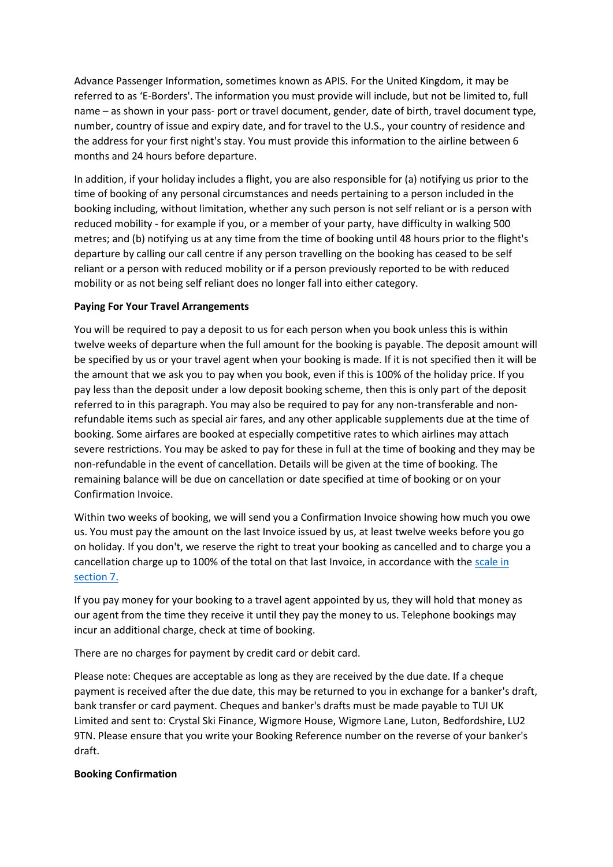Advance Passenger Information, sometimes known as APIS. For the United Kingdom, it may be referred to as 'E-Borders'. The information you must provide will include, but not be limited to, full name – as shown in your pass- port or travel document, gender, date of birth, travel document type, number, country of issue and expiry date, and for travel to the U.S., your country of residence and the address for your first night's stay. You must provide this information to the airline between 6 months and 24 hours before departure.

In addition, if your holiday includes a flight, you are also responsible for (a) notifying us prior to the time of booking of any personal circumstances and needs pertaining to a person included in the booking including, without limitation, whether any such person is not self reliant or is a person with reduced mobility - for example if you, or a member of your party, have difficulty in walking 500 metres; and (b) notifying us at any time from the time of booking until 48 hours prior to the flight's departure by calling our call centre if any person travelling on the booking has ceased to be self reliant or a person with reduced mobility or if a person previously reported to be with reduced mobility or as not being self reliant does no longer fall into either category.

## **Paying For Your Travel Arrangements**

You will be required to pay a deposit to us for each person when you book unless this is within twelve weeks of departure when the full amount for the booking is payable. The deposit amount will be specified by us or your travel agent when your booking is made. If it is not specified then it will be the amount that we ask you to pay when you book, even if this is 100% of the holiday price. If you pay less than the deposit under a low deposit booking scheme, then this is only part of the deposit referred to in this paragraph. You may also be required to pay for any non-transferable and nonrefundable items such as special air fares, and any other applicable supplements due at the time of booking. Some airfares are booked at especially competitive rates to which airlines may attach severe restrictions. You may be asked to pay for these in full at the time of booking and they may be non-refundable in the event of cancellation. Details will be given at the time of booking. The remaining balance will be due on cancellation or date specified at time of booking or on your Confirmation Invoice.

Within two weeks of booking, we will send you a Confirmation Invoice showing how much you owe us. You must pay the amount on the last Invoice issued by us, at least twelve weeks before you go on holiday. If you don't, we reserve the right to treat your booking as cancelled and to charge you a cancellation charge up to 100% of the total on that last Invoice, in accordance with the scale in [section 7.](https://www.crystalski.co.uk/our-policies/terms-and-conditions/holiday-agreements/#you-cancel-your-booking)

If you pay money for your booking to a travel agent appointed by us, they will hold that money as our agent from the time they receive it until they pay the money to us. Telephone bookings may incur an additional charge, check at time of booking.

There are no charges for payment by credit card or debit card.

Please note: Cheques are acceptable as long as they are received by the due date. If a cheque payment is received after the due date, this may be returned to you in exchange for a banker's draft, bank transfer or card payment. Cheques and banker's drafts must be made payable to TUI UK Limited and sent to: Crystal Ski Finance, Wigmore House, Wigmore Lane, Luton, Bedfordshire, LU2 9TN. Please ensure that you write your Booking Reference number on the reverse of your banker's draft.

# **Booking Confirmation**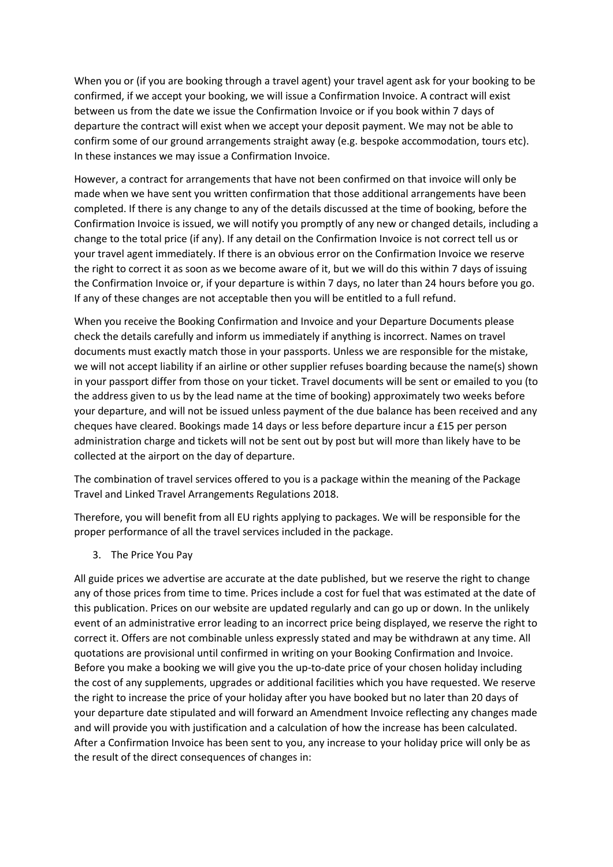When you or (if you are booking through a travel agent) your travel agent ask for your booking to be confirmed, if we accept your booking, we will issue a Confirmation Invoice. A contract will exist between us from the date we issue the Confirmation Invoice or if you book within 7 days of departure the contract will exist when we accept your deposit payment. We may not be able to confirm some of our ground arrangements straight away (e.g. bespoke accommodation, tours etc). In these instances we may issue a Confirmation Invoice.

However, a contract for arrangements that have not been confirmed on that invoice will only be made when we have sent you written confirmation that those additional arrangements have been completed. If there is any change to any of the details discussed at the time of booking, before the Confirmation Invoice is issued, we will notify you promptly of any new or changed details, including a change to the total price (if any). If any detail on the Confirmation Invoice is not correct tell us or your travel agent immediately. If there is an obvious error on the Confirmation Invoice we reserve the right to correct it as soon as we become aware of it, but we will do this within 7 days of issuing the Confirmation Invoice or, if your departure is within 7 days, no later than 24 hours before you go. If any of these changes are not acceptable then you will be entitled to a full refund.

When you receive the Booking Confirmation and Invoice and your Departure Documents please check the details carefully and inform us immediately if anything is incorrect. Names on travel documents must exactly match those in your passports. Unless we are responsible for the mistake, we will not accept liability if an airline or other supplier refuses boarding because the name(s) shown in your passport differ from those on your ticket. Travel documents will be sent or emailed to you (to the address given to us by the lead name at the time of booking) approximately two weeks before your departure, and will not be issued unless payment of the due balance has been received and any cheques have cleared. Bookings made 14 days or less before departure incur a £15 per person administration charge and tickets will not be sent out by post but will more than likely have to be collected at the airport on the day of departure.

The combination of travel services offered to you is a package within the meaning of the Package Travel and Linked Travel Arrangements Regulations 2018.

Therefore, you will benefit from all EU rights applying to packages. We will be responsible for the proper performance of all the travel services included in the package.

3. The Price You Pay

All guide prices we advertise are accurate at the date published, but we reserve the right to change any of those prices from time to time. Prices include a cost for fuel that was estimated at the date of this publication. Prices on our website are updated regularly and can go up or down. In the unlikely event of an administrative error leading to an incorrect price being displayed, we reserve the right to correct it. Offers are not combinable unless expressly stated and may be withdrawn at any time. All quotations are provisional until confirmed in writing on your Booking Confirmation and Invoice. Before you make a booking we will give you the up-to-date price of your chosen holiday including the cost of any supplements, upgrades or additional facilities which you have requested. We reserve the right to increase the price of your holiday after you have booked but no later than 20 days of your departure date stipulated and will forward an Amendment Invoice reflecting any changes made and will provide you with justification and a calculation of how the increase has been calculated. After a Confirmation Invoice has been sent to you, any increase to your holiday price will only be as the result of the direct consequences of changes in: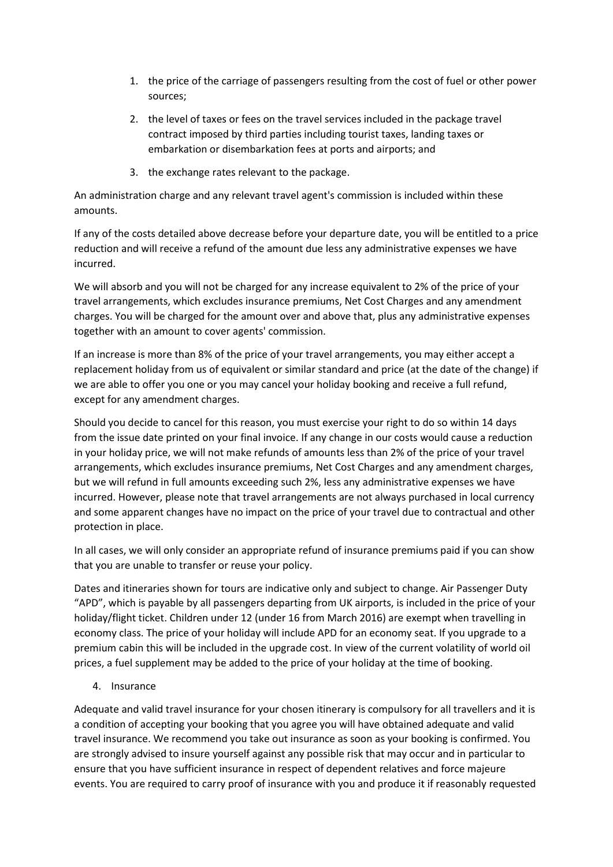- 1. the price of the carriage of passengers resulting from the cost of fuel or other power sources;
- 2. the level of taxes or fees on the travel services included in the package travel contract imposed by third parties including tourist taxes, landing taxes or embarkation or disembarkation fees at ports and airports; and
- 3. the exchange rates relevant to the package.

An administration charge and any relevant travel agent's commission is included within these amounts.

If any of the costs detailed above decrease before your departure date, you will be entitled to a price reduction and will receive a refund of the amount due less any administrative expenses we have incurred.

We will absorb and you will not be charged for any increase equivalent to 2% of the price of your travel arrangements, which excludes insurance premiums, Net Cost Charges and any amendment charges. You will be charged for the amount over and above that, plus any administrative expenses together with an amount to cover agents' commission.

If an increase is more than 8% of the price of your travel arrangements, you may either accept a replacement holiday from us of equivalent or similar standard and price (at the date of the change) if we are able to offer you one or you may cancel your holiday booking and receive a full refund, except for any amendment charges.

Should you decide to cancel for this reason, you must exercise your right to do so within 14 days from the issue date printed on your final invoice. If any change in our costs would cause a reduction in your holiday price, we will not make refunds of amounts less than 2% of the price of your travel arrangements, which excludes insurance premiums, Net Cost Charges and any amendment charges, but we will refund in full amounts exceeding such 2%, less any administrative expenses we have incurred. However, please note that travel arrangements are not always purchased in local currency and some apparent changes have no impact on the price of your travel due to contractual and other protection in place.

In all cases, we will only consider an appropriate refund of insurance premiums paid if you can show that you are unable to transfer or reuse your policy.

Dates and itineraries shown for tours are indicative only and subject to change. Air Passenger Duty "APD", which is payable by all passengers departing from UK airports, is included in the price of your holiday/flight ticket. Children under 12 (under 16 from March 2016) are exempt when travelling in economy class. The price of your holiday will include APD for an economy seat. If you upgrade to a premium cabin this will be included in the upgrade cost. In view of the current volatility of world oil prices, a fuel supplement may be added to the price of your holiday at the time of booking.

4. Insurance

Adequate and valid travel insurance for your chosen itinerary is compulsory for all travellers and it is a condition of accepting your booking that you agree you will have obtained adequate and valid travel insurance. We recommend you take out insurance as soon as your booking is confirmed. You are strongly advised to insure yourself against any possible risk that may occur and in particular to ensure that you have sufficient insurance in respect of dependent relatives and force majeure events. You are required to carry proof of insurance with you and produce it if reasonably requested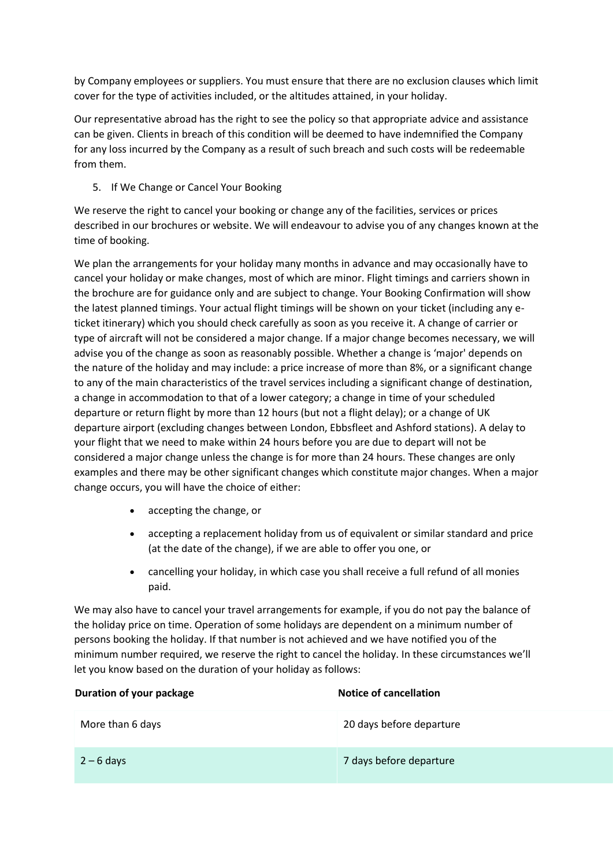by Company employees or suppliers. You must ensure that there are no exclusion clauses which limit cover for the type of activities included, or the altitudes attained, in your holiday.

Our representative abroad has the right to see the policy so that appropriate advice and assistance can be given. Clients in breach of this condition will be deemed to have indemnified the Company for any loss incurred by the Company as a result of such breach and such costs will be redeemable from them.

5. If We Change or Cancel Your Booking

We reserve the right to cancel your booking or change any of the facilities, services or prices described in our brochures or website. We will endeavour to advise you of any changes known at the time of booking.

We plan the arrangements for your holiday many months in advance and may occasionally have to cancel your holiday or make changes, most of which are minor. Flight timings and carriers shown in the brochure are for guidance only and are subject to change. Your Booking Confirmation will show the latest planned timings. Your actual flight timings will be shown on your ticket (including any eticket itinerary) which you should check carefully as soon as you receive it. A change of carrier or type of aircraft will not be considered a major change. If a major change becomes necessary, we will advise you of the change as soon as reasonably possible. Whether a change is 'major' depends on the nature of the holiday and may include: a price increase of more than 8%, or a significant change to any of the main characteristics of the travel services including a significant change of destination, a change in accommodation to that of a lower category; a change in time of your scheduled departure or return flight by more than 12 hours (but not a flight delay); or a change of UK departure airport (excluding changes between London, Ebbsfleet and Ashford stations). A delay to your flight that we need to make within 24 hours before you are due to depart will not be considered a major change unless the change is for more than 24 hours. These changes are only examples and there may be other significant changes which constitute major changes. When a major change occurs, you will have the choice of either:

- accepting the change, or
- accepting a replacement holiday from us of equivalent or similar standard and price (at the date of the change), if we are able to offer you one, or
- cancelling your holiday, in which case you shall receive a full refund of all monies paid.

We may also have to cancel your travel arrangements for example, if you do not pay the balance of the holiday price on time. Operation of some holidays are dependent on a minimum number of persons booking the holiday. If that number is not achieved and we have notified you of the minimum number required, we reserve the right to cancel the holiday. In these circumstances we'll let you know based on the duration of your holiday as follows:

| Duration of your package | <b>Notice of cancellation</b> |  |
|--------------------------|-------------------------------|--|
| More than 6 days         | 20 days before departure      |  |
| $2 - 6$ days             | 7 days before departure       |  |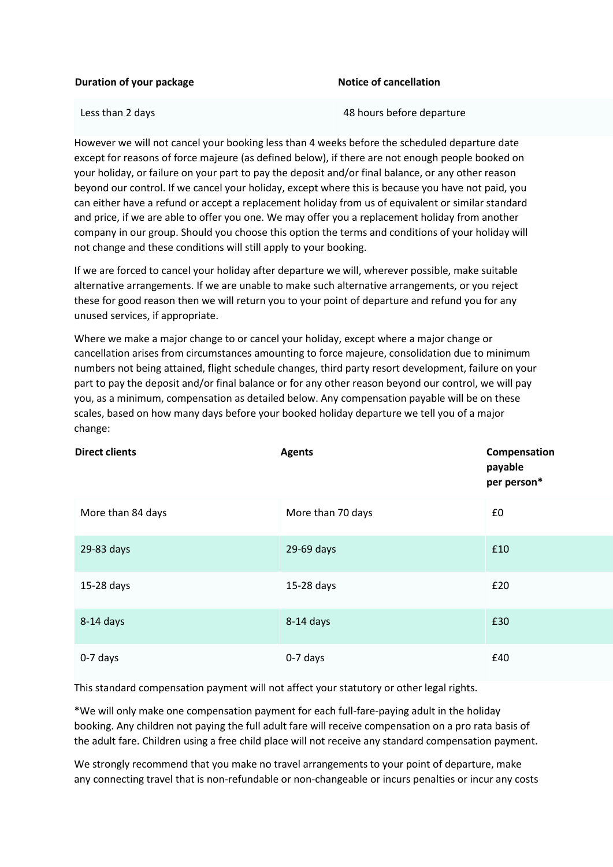#### **Duration of your package <b>Notice of cancellation**

Less than 2 days **48 hours before departure** 

However we will not cancel your booking less than 4 weeks before the scheduled departure date except for reasons of force majeure (as defined below), if there are not enough people booked on your holiday, or failure on your part to pay the deposit and/or final balance, or any other reason beyond our control. If we cancel your holiday, except where this is because you have not paid, you can either have a refund or accept a replacement holiday from us of equivalent or similar standard and price, if we are able to offer you one. We may offer you a replacement holiday from another company in our group. Should you choose this option the terms and conditions of your holiday will not change and these conditions will still apply to your booking.

If we are forced to cancel your holiday after departure we will, wherever possible, make suitable alternative arrangements. If we are unable to make such alternative arrangements, or you reject these for good reason then we will return you to your point of departure and refund you for any unused services, if appropriate.

Where we make a major change to or cancel your holiday, except where a major change or cancellation arises from circumstances amounting to force majeure, consolidation due to minimum numbers not being attained, flight schedule changes, third party resort development, failure on your part to pay the deposit and/or final balance or for any other reason beyond our control, we will pay you, as a minimum, compensation as detailed below. Any compensation payable will be on these scales, based on how many days before your booked holiday departure we tell you of a major change:

| <b>Direct clients</b> | <b>Agents</b>     | Compensation<br>payable<br>per person* |
|-----------------------|-------------------|----------------------------------------|
| More than 84 days     | More than 70 days | £0                                     |
| 29-83 days            | 29-69 days        | £10                                    |
| 15-28 days            | 15-28 days        | £20                                    |
| $8-14$ days           | 8-14 days         | £30                                    |
| 0-7 days              | 0-7 days          | £40                                    |

This standard compensation payment will not affect your statutory or other legal rights.

\*We will only make one compensation payment for each full-fare-paying adult in the holiday booking. Any children not paying the full adult fare will receive compensation on a pro rata basis of the adult fare. Children using a free child place will not receive any standard compensation payment.

We strongly recommend that you make no travel arrangements to your point of departure, make any connecting travel that is non-refundable or non-changeable or incurs penalties or incur any costs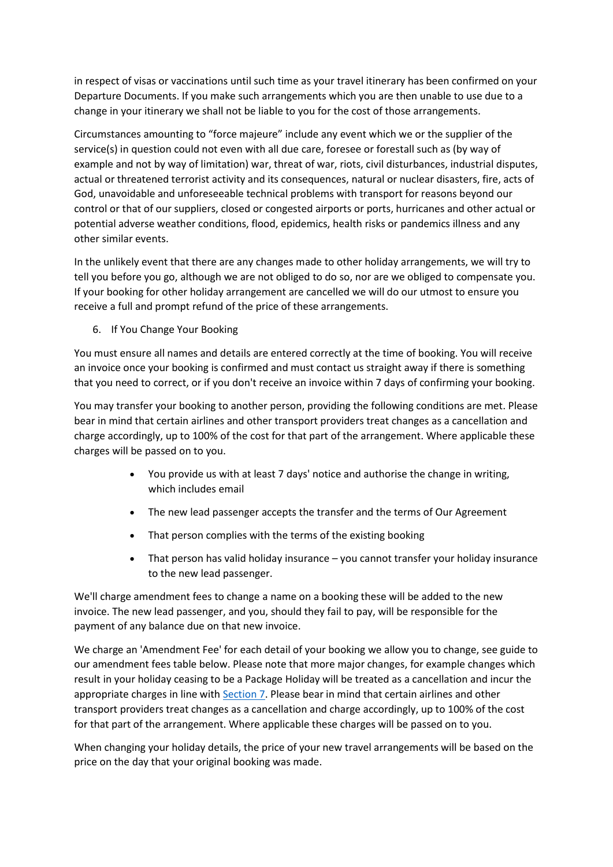in respect of visas or vaccinations until such time as your travel itinerary has been confirmed on your Departure Documents. If you make such arrangements which you are then unable to use due to a change in your itinerary we shall not be liable to you for the cost of those arrangements.

Circumstances amounting to "force majeure" include any event which we or the supplier of the service(s) in question could not even with all due care, foresee or forestall such as (by way of example and not by way of limitation) war, threat of war, riots, civil disturbances, industrial disputes, actual or threatened terrorist activity and its consequences, natural or nuclear disasters, fire, acts of God, unavoidable and unforeseeable technical problems with transport for reasons beyond our control or that of our suppliers, closed or congested airports or ports, hurricanes and other actual or potential adverse weather conditions, flood, epidemics, health risks or pandemics illness and any other similar events.

In the unlikely event that there are any changes made to other holiday arrangements, we will try to tell you before you go, although we are not obliged to do so, nor are we obliged to compensate you. If your booking for other holiday arrangement are cancelled we will do our utmost to ensure you receive a full and prompt refund of the price of these arrangements.

6. If You Change Your Booking

You must ensure all names and details are entered correctly at the time of booking. You will receive an invoice once your booking is confirmed and must contact us straight away if there is something that you need to correct, or if you don't receive an invoice within 7 days of confirming your booking.

You may transfer your booking to another person, providing the following conditions are met. Please bear in mind that certain airlines and other transport providers treat changes as a cancellation and charge accordingly, up to 100% of the cost for that part of the arrangement. Where applicable these charges will be passed on to you.

- You provide us with at least 7 days' notice and authorise the change in writing, which includes email
- The new lead passenger accepts the transfer and the terms of Our Agreement
- That person complies with the terms of the existing booking
- That person has valid holiday insurance you cannot transfer your holiday insurance to the new lead passenger.

We'll charge amendment fees to change a name on a booking these will be added to the new invoice. The new lead passenger, and you, should they fail to pay, will be responsible for the payment of any balance due on that new invoice.

We charge an 'Amendment Fee' for each detail of your booking we allow you to change, see guide to our amendment fees table below. Please note that more major changes, for example changes which result in your holiday ceasing to be a Package Holiday will be treated as a cancellation and incur the appropriate charges in line with [Section 7.](https://www.crystalski.co.uk/our-policies/terms-and-conditions/holiday-agreements/#you-cancel-your-booking) Please bear in mind that certain airlines and other transport providers treat changes as a cancellation and charge accordingly, up to 100% of the cost for that part of the arrangement. Where applicable these charges will be passed on to you.

When changing your holiday details, the price of your new travel arrangements will be based on the price on the day that your original booking was made.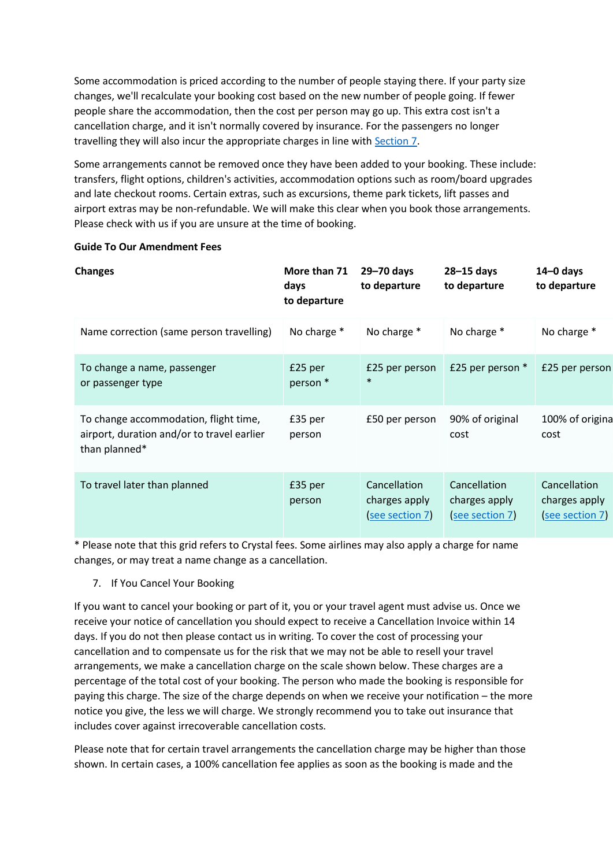Some accommodation is priced according to the number of people staying there. If your party size changes, we'll recalculate your booking cost based on the new number of people going. If fewer people share the accommodation, then the cost per person may go up. This extra cost isn't a cancellation charge, and it isn't normally covered by insurance. For the passengers no longer travelling they will also incur the appropriate charges in line with [Section 7.](https://www.crystalski.co.uk/our-policies/terms-and-conditions/holiday-agreements/#you-cancel-your-booking)

Some arrangements cannot be removed once they have been added to your booking. These include: transfers, flight options, children's activities, accommodation options such as room/board upgrades and late checkout rooms. Certain extras, such as excursions, theme park tickets, lift passes and airport extras may be non-refundable. We will make this clear when you book those arrangements. Please check with us if you are unsure at the time of booking.

| <b>Changes</b>                                                                                       | More than 71<br>days<br>to departure | 29-70 days<br>to departure                      | $28 - 15$ days<br>to departure                 | $14-0$ days<br>to departure                    |
|------------------------------------------------------------------------------------------------------|--------------------------------------|-------------------------------------------------|------------------------------------------------|------------------------------------------------|
| Name correction (same person travelling)                                                             | No charge *                          | No charge *                                     | No charge *                                    | No charge *                                    |
| To change a name, passenger<br>or passenger type                                                     | £25 per<br>person *                  | £25 per person<br>$\ast$                        | £25 per person *                               | £25 per person                                 |
| To change accommodation, flight time,<br>airport, duration and/or to travel earlier<br>than planned* | £35 per<br>person                    | £50 per person                                  | 90% of original<br>cost                        | 100% of origina<br>cost                        |
| To travel later than planned                                                                         | £35 per<br>person                    | Cancellation<br>charges apply<br>see section 7) | Cancellation<br>charges apply<br>see section 7 | Cancellation<br>charges apply<br>see section 7 |

## **Guide To Our Amendment Fees**

\* Please note that this grid refers to Crystal fees. Some airlines may also apply a charge for name changes, or may treat a name change as a cancellation.

7. If You Cancel Your Booking

If you want to cancel your booking or part of it, you or your travel agent must advise us. Once we receive your notice of cancellation you should expect to receive a Cancellation Invoice within 14 days. If you do not then please contact us in writing. To cover the cost of processing your cancellation and to compensate us for the risk that we may not be able to resell your travel arrangements, we make a cancellation charge on the scale shown below. These charges are a percentage of the total cost of your booking. The person who made the booking is responsible for paying this charge. The size of the charge depends on when we receive your notification – the more notice you give, the less we will charge. We strongly recommend you to take out insurance that includes cover against irrecoverable cancellation costs.

Please note that for certain travel arrangements the cancellation charge may be higher than those shown. In certain cases, a 100% cancellation fee applies as soon as the booking is made and the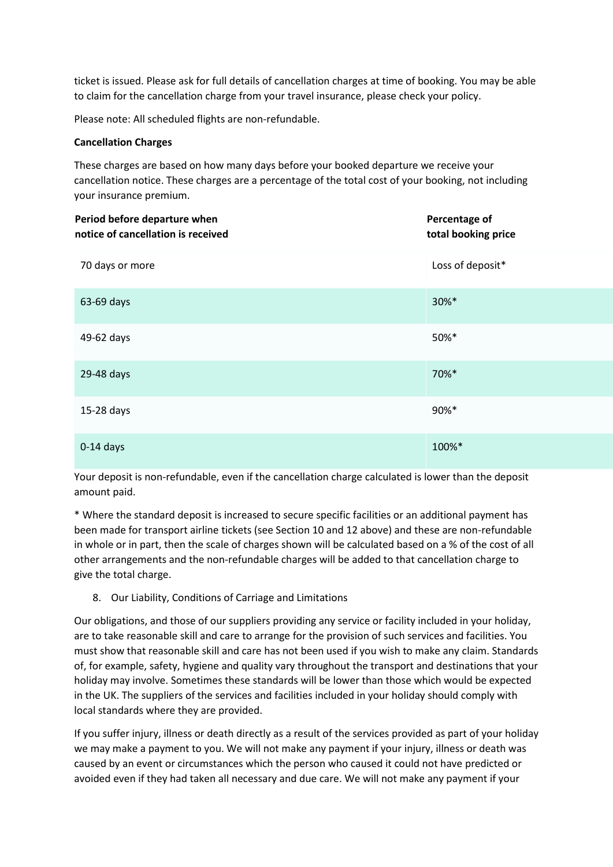ticket is issued. Please ask for full details of cancellation charges at time of booking. You may be able to claim for the cancellation charge from your travel insurance, please check your policy.

Please note: All scheduled flights are non-refundable.

## **Cancellation Charges**

These charges are based on how many days before your booked departure we receive your cancellation notice. These charges are a percentage of the total cost of your booking, not including your insurance premium.

| Period before departure when<br>notice of cancellation is received | Percentage of<br>total booking price |
|--------------------------------------------------------------------|--------------------------------------|
| 70 days or more                                                    | Loss of deposit*                     |
| 63-69 days                                                         | 30%*                                 |
| 49-62 days                                                         | 50%*                                 |
| 29-48 days                                                         | 70%*                                 |
| 15-28 days                                                         | 90%*                                 |
| $0-14$ days                                                        | 100%*                                |

Your deposit is non-refundable, even if the cancellation charge calculated is lower than the deposit amount paid.

\* Where the standard deposit is increased to secure specific facilities or an additional payment has been made for transport airline tickets (see Section 10 and 12 above) and these are non-refundable in whole or in part, then the scale of charges shown will be calculated based on a % of the cost of all other arrangements and the non-refundable charges will be added to that cancellation charge to give the total charge.

8. Our Liability, Conditions of Carriage and Limitations

Our obligations, and those of our suppliers providing any service or facility included in your holiday, are to take reasonable skill and care to arrange for the provision of such services and facilities. You must show that reasonable skill and care has not been used if you wish to make any claim. Standards of, for example, safety, hygiene and quality vary throughout the transport and destinations that your holiday may involve. Sometimes these standards will be lower than those which would be expected in the UK. The suppliers of the services and facilities included in your holiday should comply with local standards where they are provided.

If you suffer injury, illness or death directly as a result of the services provided as part of your holiday we may make a payment to you. We will not make any payment if your injury, illness or death was caused by an event or circumstances which the person who caused it could not have predicted or avoided even if they had taken all necessary and due care. We will not make any payment if your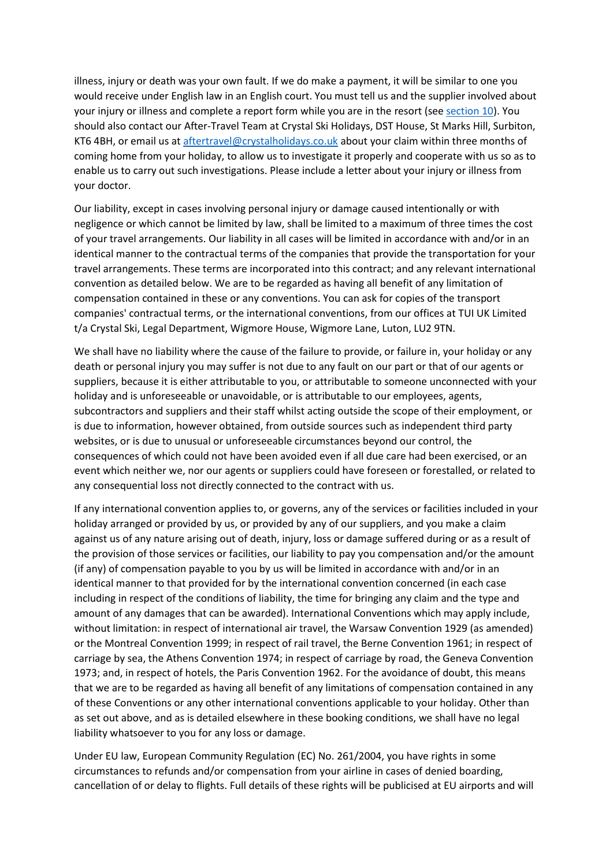illness, injury or death was your own fault. If we do make a payment, it will be similar to one you would receive under English law in an English court. You must tell us and the supplier involved about your injury or illness and complete a report form while you are in the resort (see [section 10\)](https://www.crystalski.co.uk/our-policies/terms-and-conditions/holiday-agreements/#you-have-a-complaint). You should also contact our After-Travel Team at Crystal Ski Holidays, DST House, St Marks Hill, Surbiton, KT6 4BH, or email us at [aftertravel@crystalholidays.co.uk](mailto:aftertravel@crystalholidays.co.uk) about your claim within three months of coming home from your holiday, to allow us to investigate it properly and cooperate with us so as to enable us to carry out such investigations. Please include a letter about your injury or illness from your doctor.

Our liability, except in cases involving personal injury or damage caused intentionally or with negligence or which cannot be limited by law, shall be limited to a maximum of three times the cost of your travel arrangements. Our liability in all cases will be limited in accordance with and/or in an identical manner to the contractual terms of the companies that provide the transportation for your travel arrangements. These terms are incorporated into this contract; and any relevant international convention as detailed below. We are to be regarded as having all benefit of any limitation of compensation contained in these or any conventions. You can ask for copies of the transport companies' contractual terms, or the international conventions, from our offices at TUI UK Limited t/a Crystal Ski, Legal Department, Wigmore House, Wigmore Lane, Luton, LU2 9TN.

We shall have no liability where the cause of the failure to provide, or failure in, your holiday or any death or personal injury you may suffer is not due to any fault on our part or that of our agents or suppliers, because it is either attributable to you, or attributable to someone unconnected with your holiday and is unforeseeable or unavoidable, or is attributable to our employees, agents, subcontractors and suppliers and their staff whilst acting outside the scope of their employment, or is due to information, however obtained, from outside sources such as independent third party websites, or is due to unusual or unforeseeable circumstances beyond our control, the consequences of which could not have been avoided even if all due care had been exercised, or an event which neither we, nor our agents or suppliers could have foreseen or forestalled, or related to any consequential loss not directly connected to the contract with us.

If any international convention applies to, or governs, any of the services or facilities included in your holiday arranged or provided by us, or provided by any of our suppliers, and you make a claim against us of any nature arising out of death, injury, loss or damage suffered during or as a result of the provision of those services or facilities, our liability to pay you compensation and/or the amount (if any) of compensation payable to you by us will be limited in accordance with and/or in an identical manner to that provided for by the international convention concerned (in each case including in respect of the conditions of liability, the time for bringing any claim and the type and amount of any damages that can be awarded). International Conventions which may apply include, without limitation: in respect of international air travel, the Warsaw Convention 1929 (as amended) or the Montreal Convention 1999; in respect of rail travel, the Berne Convention 1961; in respect of carriage by sea, the Athens Convention 1974; in respect of carriage by road, the Geneva Convention 1973; and, in respect of hotels, the Paris Convention 1962. For the avoidance of doubt, this means that we are to be regarded as having all benefit of any limitations of compensation contained in any of these Conventions or any other international conventions applicable to your holiday. Other than as set out above, and as is detailed elsewhere in these booking conditions, we shall have no legal liability whatsoever to you for any loss or damage.

Under EU law, European Community Regulation (EC) No. 261/2004, you have rights in some circumstances to refunds and/or compensation from your airline in cases of denied boarding, cancellation of or delay to flights. Full details of these rights will be publicised at EU airports and will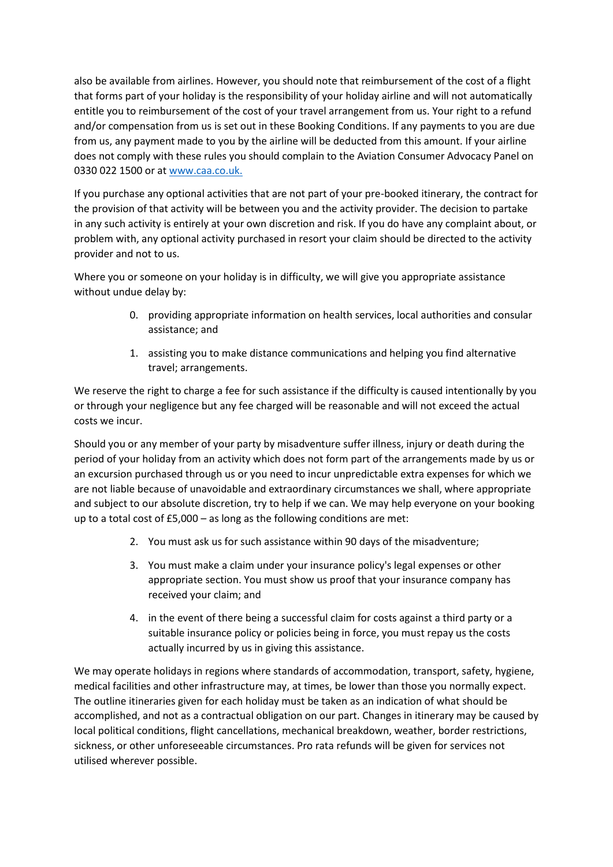also be available from airlines. However, you should note that reimbursement of the cost of a flight that forms part of your holiday is the responsibility of your holiday airline and will not automatically entitle you to reimbursement of the cost of your travel arrangement from us. Your right to a refund and/or compensation from us is set out in these Booking Conditions. If any payments to you are due from us, any payment made to you by the airline will be deducted from this amount. If your airline does not comply with these rules you should complain to the Aviation Consumer Advocacy Panel on 0330 022 1500 or at [www.caa.co.uk.](http://www.caa.co.uk/)

If you purchase any optional activities that are not part of your pre-booked itinerary, the contract for the provision of that activity will be between you and the activity provider. The decision to partake in any such activity is entirely at your own discretion and risk. If you do have any complaint about, or problem with, any optional activity purchased in resort your claim should be directed to the activity provider and not to us.

Where you or someone on your holiday is in difficulty, we will give you appropriate assistance without undue delay by:

- 0. providing appropriate information on health services, local authorities and consular assistance; and
- 1. assisting you to make distance communications and helping you find alternative travel; arrangements.

We reserve the right to charge a fee for such assistance if the difficulty is caused intentionally by you or through your negligence but any fee charged will be reasonable and will not exceed the actual costs we incur.

Should you or any member of your party by misadventure suffer illness, injury or death during the period of your holiday from an activity which does not form part of the arrangements made by us or an excursion purchased through us or you need to incur unpredictable extra expenses for which we are not liable because of unavoidable and extraordinary circumstances we shall, where appropriate and subject to our absolute discretion, try to help if we can. We may help everyone on your booking up to a total cost of £5,000 – as long as the following conditions are met:

- 2. You must ask us for such assistance within 90 days of the misadventure;
- 3. You must make a claim under your insurance policy's legal expenses or other appropriate section. You must show us proof that your insurance company has received your claim; and
- 4. in the event of there being a successful claim for costs against a third party or a suitable insurance policy or policies being in force, you must repay us the costs actually incurred by us in giving this assistance.

We may operate holidays in regions where standards of accommodation, transport, safety, hygiene, medical facilities and other infrastructure may, at times, be lower than those you normally expect. The outline itineraries given for each holiday must be taken as an indication of what should be accomplished, and not as a contractual obligation on our part. Changes in itinerary may be caused by local political conditions, flight cancellations, mechanical breakdown, weather, border restrictions, sickness, or other unforeseeable circumstances. Pro rata refunds will be given for services not utilised wherever possible.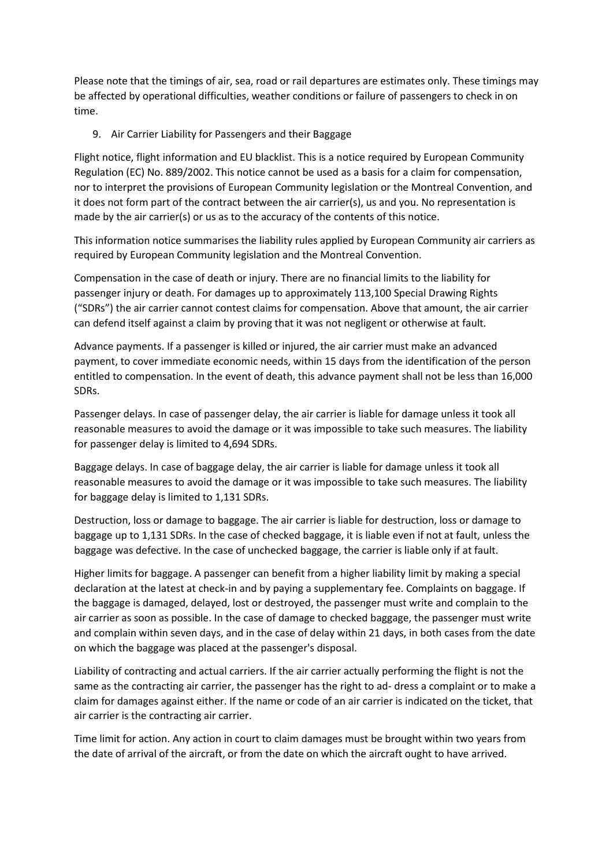Please note that the timings of air, sea, road or rail departures are estimates only. These timings may be affected by operational difficulties, weather conditions or failure of passengers to check in on time.

9. Air Carrier Liability for Passengers and their Baggage

Flight notice, flight information and EU blacklist. This is a notice required by European Community Regulation (EC) No. 889/2002. This notice cannot be used as a basis for a claim for compensation, nor to interpret the provisions of European Community legislation or the Montreal Convention, and it does not form part of the contract between the air carrier(s), us and you. No representation is made by the air carrier(s) or us as to the accuracy of the contents of this notice.

This information notice summarises the liability rules applied by European Community air carriers as required by European Community legislation and the Montreal Convention.

Compensation in the case of death or injury. There are no financial limits to the liability for passenger injury or death. For damages up to approximately 113,100 Special Drawing Rights ("SDRs") the air carrier cannot contest claims for compensation. Above that amount, the air carrier can defend itself against a claim by proving that it was not negligent or otherwise at fault.

Advance payments. If a passenger is killed or injured, the air carrier must make an advanced payment, to cover immediate economic needs, within 15 days from the identification of the person entitled to compensation. In the event of death, this advance payment shall not be less than 16,000 SDRs.

Passenger delays. In case of passenger delay, the air carrier is liable for damage unless it took all reasonable measures to avoid the damage or it was impossible to take such measures. The liability for passenger delay is limited to 4,694 SDRs.

Baggage delays. In case of baggage delay, the air carrier is liable for damage unless it took all reasonable measures to avoid the damage or it was impossible to take such measures. The liability for baggage delay is limited to 1,131 SDRs.

Destruction, loss or damage to baggage. The air carrier is liable for destruction, loss or damage to baggage up to 1,131 SDRs. In the case of checked baggage, it is liable even if not at fault, unless the baggage was defective. In the case of unchecked baggage, the carrier is liable only if at fault.

Higher limits for baggage. A passenger can benefit from a higher liability limit by making a special declaration at the latest at check-in and by paying a supplementary fee. Complaints on baggage. If the baggage is damaged, delayed, lost or destroyed, the passenger must write and complain to the air carrier as soon as possible. In the case of damage to checked baggage, the passenger must write and complain within seven days, and in the case of delay within 21 days, in both cases from the date on which the baggage was placed at the passenger's disposal.

Liability of contracting and actual carriers. If the air carrier actually performing the flight is not the same as the contracting air carrier, the passenger has the right to ad- dress a complaint or to make a claim for damages against either. If the name or code of an air carrier is indicated on the ticket, that air carrier is the contracting air carrier.

Time limit for action. Any action in court to claim damages must be brought within two years from the date of arrival of the aircraft, or from the date on which the aircraft ought to have arrived.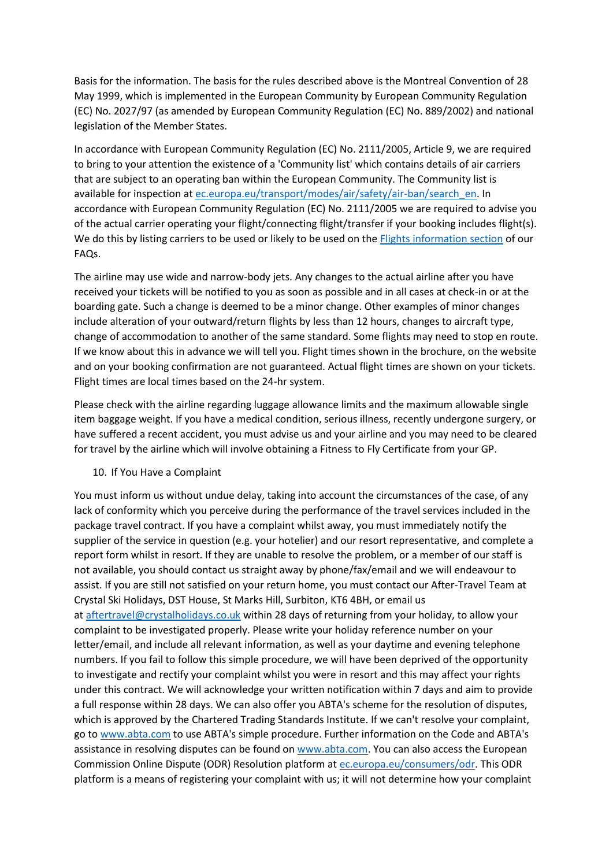Basis for the information. The basis for the rules described above is the Montreal Convention of 28 May 1999, which is implemented in the European Community by European Community Regulation (EC) No. 2027/97 (as amended by European Community Regulation (EC) No. 889/2002) and national legislation of the Member States.

In accordance with European Community Regulation (EC) No. 2111/2005, Article 9, we are required to bring to your attention the existence of a 'Community list' which contains details of air carriers that are subject to an operating ban within the European Community. The Community list is available for inspection at [ec.europa.eu/transport/modes/air/safety/air-ban/search\\_en.](https://ec.europa.eu/transport/modes/air/safety/air-ban/search_en) In accordance with European Community Regulation (EC) No. 2111/2005 we are required to advise you of the actual carrier operating your flight/connecting flight/transfer if your booking includes flight(s). We do this by listing carriers to be used or likely to be used on the [Flights information section](https://www.crystalski.co.uk/help/flights-flying-info/) of our FAQs.

The airline may use wide and narrow-body jets. Any changes to the actual airline after you have received your tickets will be notified to you as soon as possible and in all cases at check-in or at the boarding gate. Such a change is deemed to be a minor change. Other examples of minor changes include alteration of your outward/return flights by less than 12 hours, changes to aircraft type, change of accommodation to another of the same standard. Some flights may need to stop en route. If we know about this in advance we will tell you. Flight times shown in the brochure, on the website and on your booking confirmation are not guaranteed. Actual flight times are shown on your tickets. Flight times are local times based on the 24-hr system.

Please check with the airline regarding luggage allowance limits and the maximum allowable single item baggage weight. If you have a medical condition, serious illness, recently undergone surgery, or have suffered a recent accident, you must advise us and your airline and you may need to be cleared for travel by the airline which will involve obtaining a Fitness to Fly Certificate from your GP.

#### 10. If You Have a Complaint

You must inform us without undue delay, taking into account the circumstances of the case, of any lack of conformity which you perceive during the performance of the travel services included in the package travel contract. If you have a complaint whilst away, you must immediately notify the supplier of the service in question (e.g. your hotelier) and our resort representative, and complete a report form whilst in resort. If they are unable to resolve the problem, or a member of our staff is not available, you should contact us straight away by phone/fax/email and we will endeavour to assist. If you are still not satisfied on your return home, you must contact our After-Travel Team at Crystal Ski Holidays, DST House, St Marks Hill, Surbiton, KT6 4BH, or email us at [aftertravel@crystalholidays.co.uk](mailto:aftertravel@crystalholidays.co.uk) within 28 days of returning from your holiday, to allow your complaint to be investigated properly. Please write your holiday reference number on your letter/email, and include all relevant information, as well as your daytime and evening telephone numbers. If you fail to follow this simple procedure, we will have been deprived of the opportunity to investigate and rectify your complaint whilst you were in resort and this may affect your rights under this contract. We will acknowledge your written notification within 7 days and aim to provide a full response within 28 days. We can also offer you ABTA's scheme for the resolution of disputes, which is approved by the Chartered Trading Standards Institute. If we can't resolve your complaint, go to [www.abta.com](http://www.abta.com/) to use ABTA's simple procedure. Further information on the Code and ABTA's assistance in resolving disputes can be found on [www.abta.com.](http://www.abta.com/) You can also access the European Commission Online Dispute (ODR) Resolution platform at [ec.europa.eu/consumers/odr.](http://ec.europa.eu/consumers/odr/) This ODR platform is a means of registering your complaint with us; it will not determine how your complaint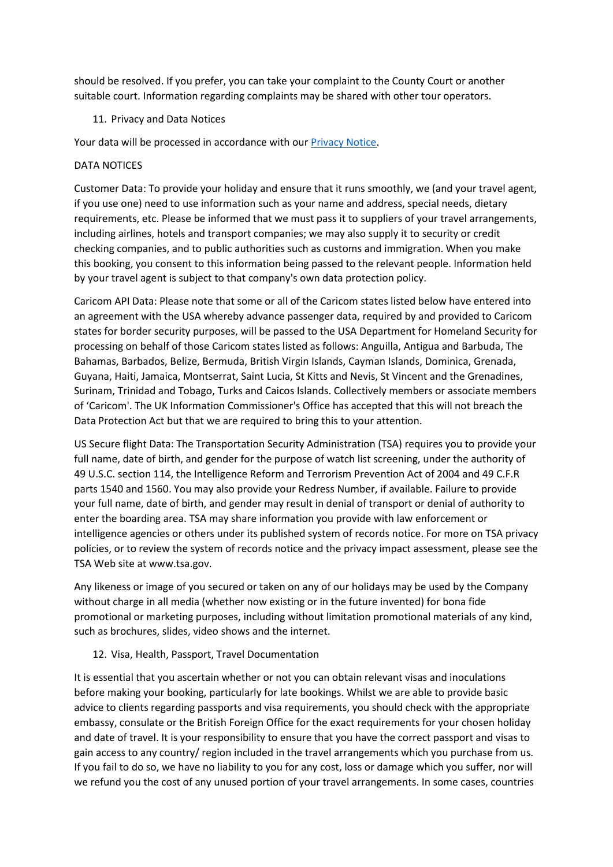should be resolved. If you prefer, you can take your complaint to the County Court or another suitable court. Information regarding complaints may be shared with other tour operators.

11. Privacy and Data Notices

Your data will be processed in accordance with our [Privacy Notice.](https://www.crystalski.co.uk/our-policies/privacy-policy/)

# DATA NOTICES

Customer Data: To provide your holiday and ensure that it runs smoothly, we (and your travel agent, if you use one) need to use information such as your name and address, special needs, dietary requirements, etc. Please be informed that we must pass it to suppliers of your travel arrangements, including airlines, hotels and transport companies; we may also supply it to security or credit checking companies, and to public authorities such as customs and immigration. When you make this booking, you consent to this information being passed to the relevant people. Information held by your travel agent is subject to that company's own data protection policy.

Caricom API Data: Please note that some or all of the Caricom states listed below have entered into an agreement with the USA whereby advance passenger data, required by and provided to Caricom states for border security purposes, will be passed to the USA Department for Homeland Security for processing on behalf of those Caricom states listed as follows: Anguilla, Antigua and Barbuda, The Bahamas, Barbados, Belize, Bermuda, British Virgin Islands, Cayman Islands, Dominica, Grenada, Guyana, Haiti, Jamaica, Montserrat, Saint Lucia, St Kitts and Nevis, St Vincent and the Grenadines, Surinam, Trinidad and Tobago, Turks and Caicos Islands. Collectively members or associate members of 'Caricom'. The UK Information Commissioner's Office has accepted that this will not breach the Data Protection Act but that we are required to bring this to your attention.

US Secure flight Data: The Transportation Security Administration (TSA) requires you to provide your full name, date of birth, and gender for the purpose of watch list screening, under the authority of 49 U.S.C. section 114, the Intelligence Reform and Terrorism Prevention Act of 2004 and 49 C.F.R parts 1540 and 1560. You may also provide your Redress Number, if available. Failure to provide your full name, date of birth, and gender may result in denial of transport or denial of authority to enter the boarding area. TSA may share information you provide with law enforcement or intelligence agencies or others under its published system of records notice. For more on TSA privacy policies, or to review the system of records notice and the privacy impact assessment, please see the TSA Web site at www.tsa.gov.

Any likeness or image of you secured or taken on any of our holidays may be used by the Company without charge in all media (whether now existing or in the future invented) for bona fide promotional or marketing purposes, including without limitation promotional materials of any kind, such as brochures, slides, video shows and the internet.

12. Visa, Health, Passport, Travel Documentation

It is essential that you ascertain whether or not you can obtain relevant visas and inoculations before making your booking, particularly for late bookings. Whilst we are able to provide basic advice to clients regarding passports and visa requirements, you should check with the appropriate embassy, consulate or the British Foreign Office for the exact requirements for your chosen holiday and date of travel. It is your responsibility to ensure that you have the correct passport and visas to gain access to any country/ region included in the travel arrangements which you purchase from us. If you fail to do so, we have no liability to you for any cost, loss or damage which you suffer, nor will we refund you the cost of any unused portion of your travel arrangements. In some cases, countries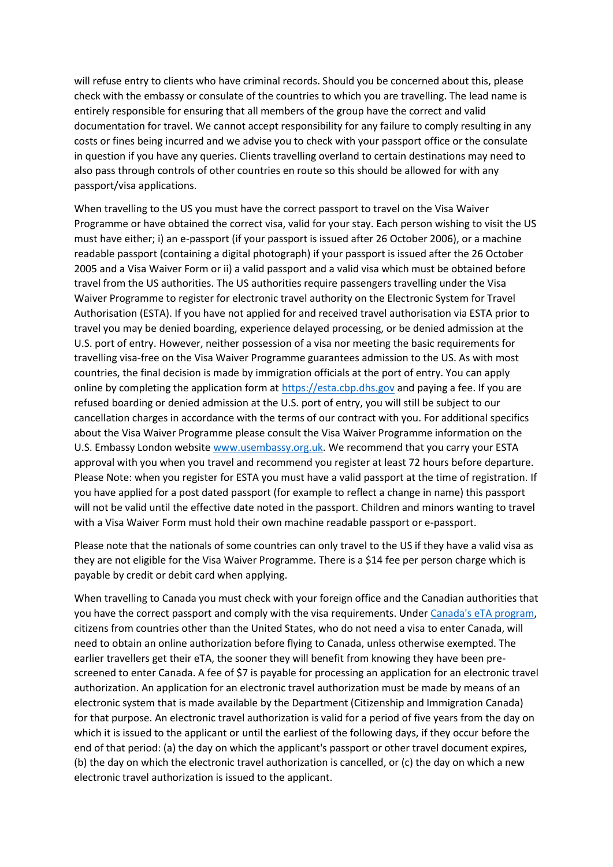will refuse entry to clients who have criminal records. Should you be concerned about this, please check with the embassy or consulate of the countries to which you are travelling. The lead name is entirely responsible for ensuring that all members of the group have the correct and valid documentation for travel. We cannot accept responsibility for any failure to comply resulting in any costs or fines being incurred and we advise you to check with your passport office or the consulate in question if you have any queries. Clients travelling overland to certain destinations may need to also pass through controls of other countries en route so this should be allowed for with any passport/visa applications.

When travelling to the US you must have the correct passport to travel on the Visa Waiver Programme or have obtained the correct visa, valid for your stay. Each person wishing to visit the US must have either; i) an e-passport (if your passport is issued after 26 October 2006), or a machine readable passport (containing a digital photograph) if your passport is issued after the 26 October 2005 and a Visa Waiver Form or ii) a valid passport and a valid visa which must be obtained before travel from the US authorities. The US authorities require passengers travelling under the Visa Waiver Programme to register for electronic travel authority on the Electronic System for Travel Authorisation (ESTA). If you have not applied for and received travel authorisation via ESTA prior to travel you may be denied boarding, experience delayed processing, or be denied admission at the U.S. port of entry. However, neither possession of a visa nor meeting the basic requirements for travelling visa-free on the Visa Waiver Programme guarantees admission to the US. As with most countries, the final decision is made by immigration officials at the port of entry. You can apply online by completing the application form at [https://esta.cbp.dhs.gov](https://esta.cbp.dhs.gov/) and paying a fee. If you are refused boarding or denied admission at the U.S. port of entry, you will still be subject to our cancellation charges in accordance with the terms of our contract with you. For additional specifics about the Visa Waiver Programme please consult the Visa Waiver Programme information on the U.S. Embassy London website [www.usembassy.org.uk.](http://www.usembassy.org.uk/) We recommend that you carry your ESTA approval with you when you travel and recommend you register at least 72 hours before departure. Please Note: when you register for ESTA you must have a valid passport at the time of registration. If you have applied for a post dated passport (for example to reflect a change in name) this passport will not be valid until the effective date noted in the passport. Children and minors wanting to travel with a Visa Waiver Form must hold their own machine readable passport or e-passport.

Please note that the nationals of some countries can only travel to the US if they have a valid visa as they are not eligible for the Visa Waiver Programme. There is a \$14 fee per person charge which is payable by credit or debit card when applying.

When travelling to Canada you must check with your foreign office and the Canadian authorities that you have the correct passport and comply with the visa requirements. Under [Canada's eTA program,](https://www.canada.ca/en/immigration-refugees-citizenship/services/visit-canada/eta.html) citizens from countries other than the United States, who do not need a visa to enter Canada, will need to obtain an online authorization before flying to Canada, unless otherwise exempted. The earlier travellers get their eTA, the sooner they will benefit from knowing they have been prescreened to enter Canada. A fee of \$7 is payable for processing an application for an electronic travel authorization. An application for an electronic travel authorization must be made by means of an electronic system that is made available by the Department (Citizenship and Immigration Canada) for that purpose. An electronic travel authorization is valid for a period of five years from the day on which it is issued to the applicant or until the earliest of the following days, if they occur before the end of that period: (a) the day on which the applicant's passport or other travel document expires, (b) the day on which the electronic travel authorization is cancelled, or (c) the day on which a new electronic travel authorization is issued to the applicant.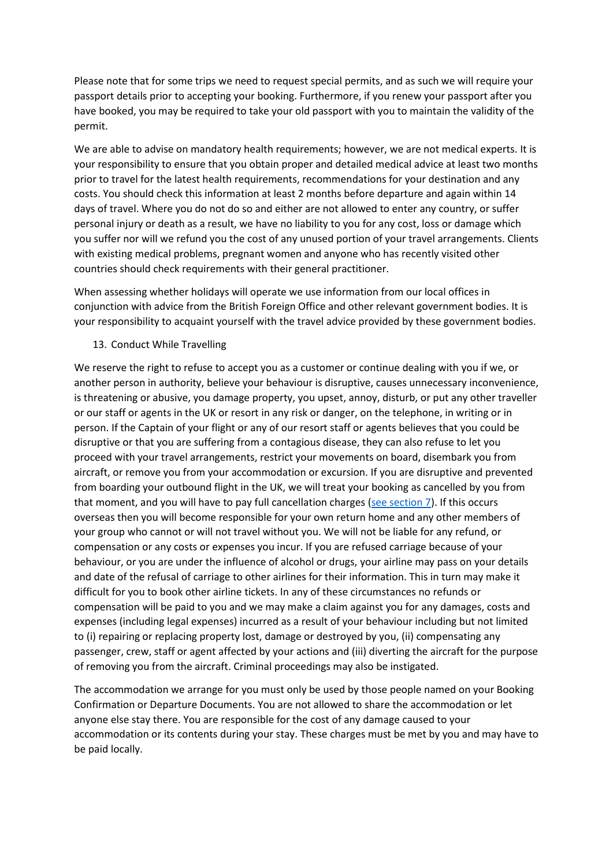Please note that for some trips we need to request special permits, and as such we will require your passport details prior to accepting your booking. Furthermore, if you renew your passport after you have booked, you may be required to take your old passport with you to maintain the validity of the permit.

We are able to advise on mandatory health requirements; however, we are not medical experts. It is your responsibility to ensure that you obtain proper and detailed medical advice at least two months prior to travel for the latest health requirements, recommendations for your destination and any costs. You should check this information at least 2 months before departure and again within 14 days of travel. Where you do not do so and either are not allowed to enter any country, or suffer personal injury or death as a result, we have no liability to you for any cost, loss or damage which you suffer nor will we refund you the cost of any unused portion of your travel arrangements. Clients with existing medical problems, pregnant women and anyone who has recently visited other countries should check requirements with their general practitioner.

When assessing whether holidays will operate we use information from our local offices in conjunction with advice from the British Foreign Office and other relevant government bodies. It is your responsibility to acquaint yourself with the travel advice provided by these government bodies.

13. Conduct While Travelling

We reserve the right to refuse to accept you as a customer or continue dealing with you if we, or another person in authority, believe your behaviour is disruptive, causes unnecessary inconvenience, is threatening or abusive, you damage property, you upset, annoy, disturb, or put any other traveller or our staff or agents in the UK or resort in any risk or danger, on the telephone, in writing or in person. If the Captain of your flight or any of our resort staff or agents believes that you could be disruptive or that you are suffering from a contagious disease, they can also refuse to let you proceed with your travel arrangements, restrict your movements on board, disembark you from aircraft, or remove you from your accommodation or excursion. If you are disruptive and prevented from boarding your outbound flight in the UK, we will treat your booking as cancelled by you from that moment, and you will have to pay full cancellation charges [\(see section 7\)](https://www.crystalski.co.uk/our-policies/terms-and-conditions/holiday-agreements/#you-cancel-your-booking). If this occurs overseas then you will become responsible for your own return home and any other members of your group who cannot or will not travel without you. We will not be liable for any refund, or compensation or any costs or expenses you incur. If you are refused carriage because of your behaviour, or you are under the influence of alcohol or drugs, your airline may pass on your details and date of the refusal of carriage to other airlines for their information. This in turn may make it difficult for you to book other airline tickets. In any of these circumstances no refunds or compensation will be paid to you and we may make a claim against you for any damages, costs and expenses (including legal expenses) incurred as a result of your behaviour including but not limited to (i) repairing or replacing property lost, damage or destroyed by you, (ii) compensating any passenger, crew, staff or agent affected by your actions and (iii) diverting the aircraft for the purpose of removing you from the aircraft. Criminal proceedings may also be instigated.

The accommodation we arrange for you must only be used by those people named on your Booking Confirmation or Departure Documents. You are not allowed to share the accommodation or let anyone else stay there. You are responsible for the cost of any damage caused to your accommodation or its contents during your stay. These charges must be met by you and may have to be paid locally.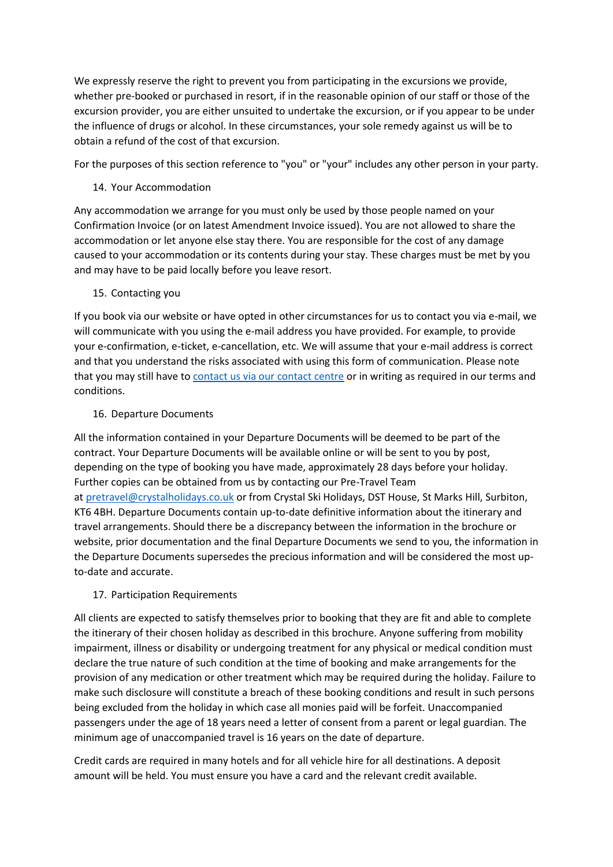We expressly reserve the right to prevent you from participating in the excursions we provide, whether pre-booked or purchased in resort, if in the reasonable opinion of our staff or those of the excursion provider, you are either unsuited to undertake the excursion, or if you appear to be under the influence of drugs or alcohol. In these circumstances, your sole remedy against us will be to obtain a refund of the cost of that excursion.

For the purposes of this section reference to "you" or "your" includes any other person in your party.

# 14. Your Accommodation

Any accommodation we arrange for you must only be used by those people named on your Confirmation Invoice (or on latest Amendment Invoice issued). You are not allowed to share the accommodation or let anyone else stay there. You are responsible for the cost of any damage caused to your accommodation or its contents during your stay. These charges must be met by you and may have to be paid locally before you leave resort.

# 15. Contacting you

If you book via our website or have opted in other circumstances for us to contact you via e-mail, we will communicate with you using the e-mail address you have provided. For example, to provide your e-confirmation, e-ticket, e-cancellation, etc. We will assume that your e-mail address is correct and that you understand the risks associated with using this form of communication. Please note that you may still have to [contact us via our contact centre](https://www.crystalski.co.uk/contact-us) or in writing as required in our terms and conditions.

# 16. Departure Documents

All the information contained in your Departure Documents will be deemed to be part of the contract. Your Departure Documents will be available online or will be sent to you by post, depending on the type of booking you have made, approximately 28 days before your holiday. Further copies can be obtained from us by contacting our Pre-Travel Team at [pretravel@crystalholidays.co.uk](mailto:pretravel@crystalholidays.co.uk) or from Crystal Ski Holidays, DST House, St Marks Hill, Surbiton, KT6 4BH. Departure Documents contain up-to-date definitive information about the itinerary and travel arrangements. Should there be a discrepancy between the information in the brochure or website, prior documentation and the final Departure Documents we send to you, the information in the Departure Documents supersedes the precious information and will be considered the most upto-date and accurate.

# 17. Participation Requirements

All clients are expected to satisfy themselves prior to booking that they are fit and able to complete the itinerary of their chosen holiday as described in this brochure. Anyone suffering from mobility impairment, illness or disability or undergoing treatment for any physical or medical condition must declare the true nature of such condition at the time of booking and make arrangements for the provision of any medication or other treatment which may be required during the holiday. Failure to make such disclosure will constitute a breach of these booking conditions and result in such persons being excluded from the holiday in which case all monies paid will be forfeit. Unaccompanied passengers under the age of 18 years need a letter of consent from a parent or legal guardian. The minimum age of unaccompanied travel is 16 years on the date of departure.

Credit cards are required in many hotels and for all vehicle hire for all destinations. A deposit amount will be held. You must ensure you have a card and the relevant credit available.